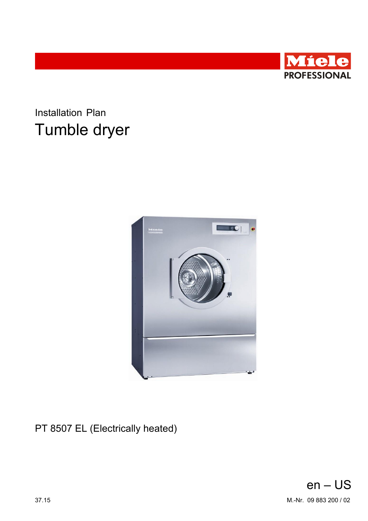

**Installation Plan** Tumble dryer



PT 8507 EL (Electrically heated)

<span id="page-0-0"></span>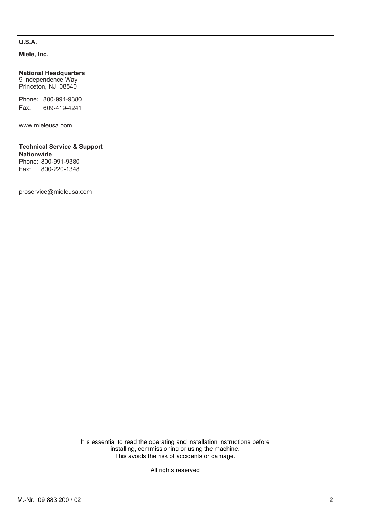## **U.S.A.**

**Miele, Inc.**

**National Headquarters** 9 Independence Way

Princeton, NJ 08540

Phone: 800-991-9380 Fax: 609-419-4241

www.mieleusa.com

## **Technical Service & Support Nationwide**

Phone: 800-991-9380<br>Fax: 800-220-1348 Fax: 800-220-1348

proservice@mieleusa.com

It is essential to read the operating and installation instructions before installing, commissioning or using the machine. This avoids the risk of accidents or damage.

All rights reserved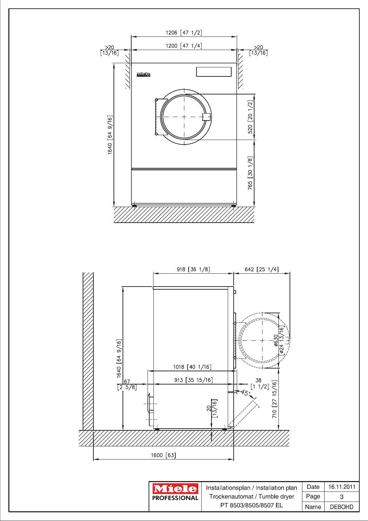



Installationsplan / Installation pla Trockenautomat / Tumble dryer PT 8503/8505/8507 EL

| n | Date | 16 11 2011    |
|---|------|---------------|
|   | Page | З             |
|   | Name | <b>DEBOHD</b> |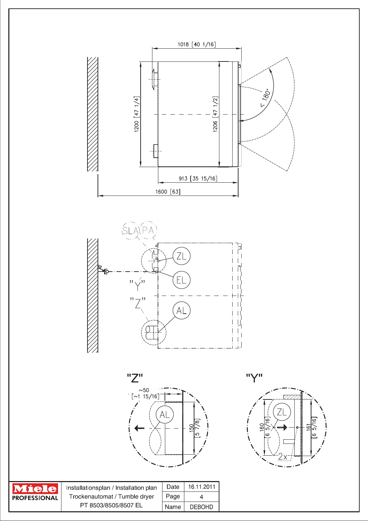







| <b>Miele</b>        | Installationsplan / Installation plan | Date | 16 11 2011    |
|---------------------|---------------------------------------|------|---------------|
| <b>PROFESSIONAL</b> | Trockenautomat / Tumble dryer         | Page | △             |
|                     | PT 8503/8505/8507 EL                  | Name | <b>DEBOHD</b> |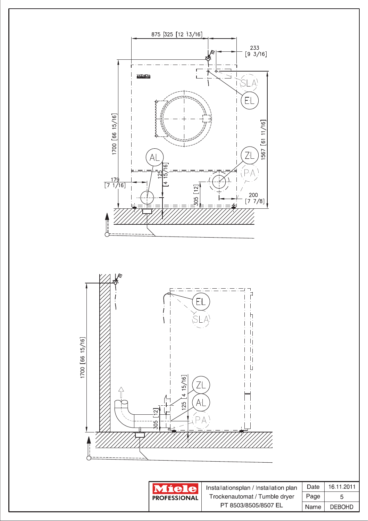





Installationsplan / Installation plan Trockenautomat / Tumble dryer PT 8503/8505/8507 EL

| Date | 16 11 2011    |
|------|---------------|
| Page | 5             |
| Name | <b>DEBOHD</b> |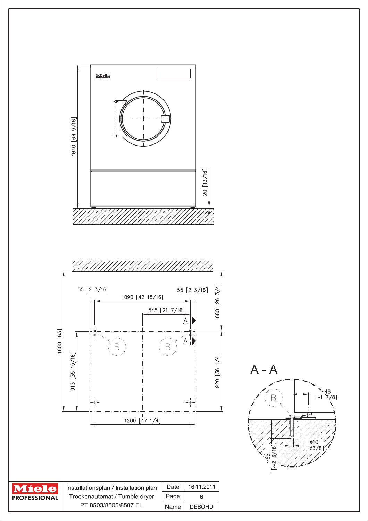

| <b>PROFFSSIONAL</b> |
|---------------------|

| Installationsplan / Installation plan |      | Date   16.11.2011 |
|---------------------------------------|------|-------------------|
| Trockenautomat / Tumble dryer         | Page |                   |
| PT 8503/8505/8507 EL                  | Name | <b>DEBOHD</b>     |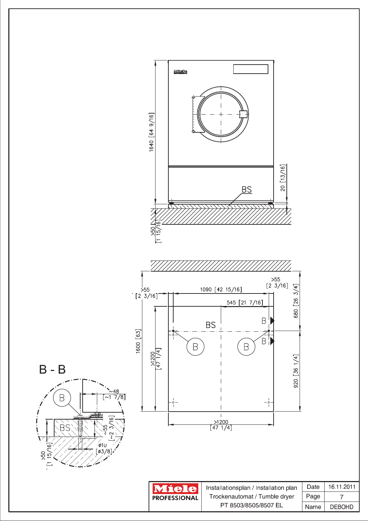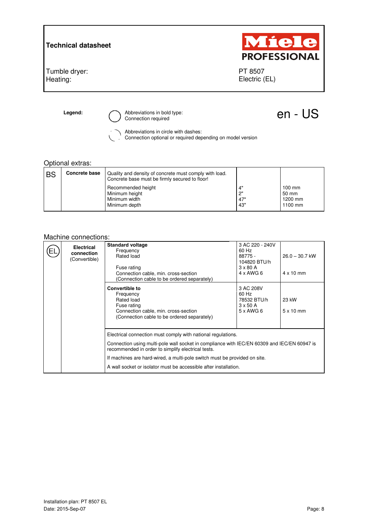**Technical datasheet** 

Tumble dryer: Heating:



PT 8507 Electric (EL)

**Legend:**  $\bigcirc$  Abbreviations in bold type:  $\bigcirc$  **Abbreviations in bold type:**  $\bigcirc$  **CON** - US

Abbreviations in circle with dashes:

Connection optional or required depending on model version

## Optional extras:

| <b>BS</b> | Concrete base | Quality and density of concrete must comply with load.<br>Concrete base must be firmly secured to floor! |                         |                                       |
|-----------|---------------|----------------------------------------------------------------------------------------------------------|-------------------------|---------------------------------------|
|           |               | Recommended height<br>Minimum height<br>Minimum width<br>Minimum depth                                   | 4"<br>2"<br>.47"<br>43" | 100 mm<br>50 mm<br>1200 mm<br>1100 mm |

## Machine connections:

| <b>Electrical</b><br>connection<br>(Convertible) | <b>Standard voltage</b><br>Frequency<br>Rated load<br>Fuse rating<br>Connection cable, min. cross-section<br>(Connection cable to be ordered separately)                                                                                                                                                                                                           | 3 AC 220 - 240V<br>60 Hz<br>88775 -<br>104820 BTU/h<br>$3 \times 80$ A<br>$4 \times$ AWG 6 | $26.0 - 30.7$ kW<br>$4 \times 10$ mm |
|--------------------------------------------------|--------------------------------------------------------------------------------------------------------------------------------------------------------------------------------------------------------------------------------------------------------------------------------------------------------------------------------------------------------------------|--------------------------------------------------------------------------------------------|--------------------------------------|
|                                                  | <b>Convertible to</b><br>Frequency<br>Rated load<br>Fuse rating<br>Connection cable, min. cross-section<br>(Connection cable to be ordered separately)                                                                                                                                                                                                             | 3 AC 208V<br>60 Hz<br>78532 BTU/h<br>$3 \times 50$ A<br>$5 \times$ AWG 6                   | 23 kW<br>$5 \times 10$ mm            |
|                                                  | Electrical connection must comply with national regulations.<br>Connection using multi-pole wall socket in compliance with IEC/EN 60309 and IEC/EN 60947 is<br>recommended in order to simplify electrical tests.<br>If machines are hard-wired, a multi-pole switch must be provided on site.<br>A wall socket or isolator must be accessible after installation. |                                                                                            |                                      |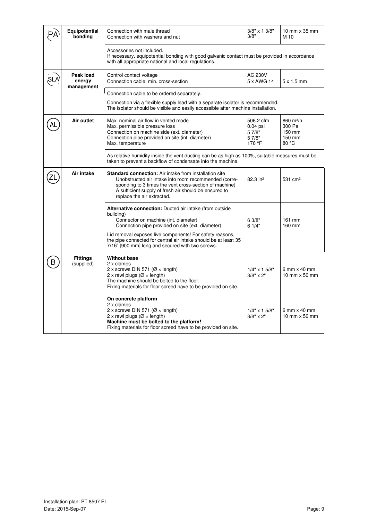|   | Equipotential<br>bonding          | Connection with male thread<br>Connection with washers and nut                                                                                                                                                                                                                                                                                      | $3/8"$ x 1 $3/8"$<br>3/8"                             | 10 mm x 35 mm<br>M 10                                        |
|---|-----------------------------------|-----------------------------------------------------------------------------------------------------------------------------------------------------------------------------------------------------------------------------------------------------------------------------------------------------------------------------------------------------|-------------------------------------------------------|--------------------------------------------------------------|
|   |                                   | Accessories not included.<br>If necessary, equipotential bonding with good galvanic contact must be provided in accordance<br>with all appropriate national and local regulations.                                                                                                                                                                  |                                                       |                                                              |
|   | Peak load<br>energy<br>management | Control contact voltage<br>Connection cable, min. cross-section                                                                                                                                                                                                                                                                                     | AC 230V<br>5 x AWG 14                                 | $5 \times 1.5$ mm                                            |
|   |                                   | Connection cable to be ordered separately.<br>Connection via a flexible supply lead with a separate isolator is recommended.<br>The isolator should be visible and easily accessible after machine installation.                                                                                                                                    |                                                       |                                                              |
|   | Air outlet                        | Max. nominal air flow in vented mode<br>Max. permissible pressure loss<br>Connection on machine side (ext. diameter)<br>Connection pipe provided on site (int. diameter)<br>Max. temperature                                                                                                                                                        | 506.2 cfm<br>$0.04$ psi<br>5 7/8"<br>5 7/8"<br>176 °F | 860 m <sup>3</sup> /h<br>300 Pa<br>150 mm<br>150 mm<br>80 °C |
|   |                                   | As relative humidity inside the vent ducting can be as high as 100%, suitable measures must be<br>taken to prevent a backflow of condensate into the machine.                                                                                                                                                                                       |                                                       |                                                              |
|   | Air intake                        | <b>Standard connection:</b> Air intake from installation site<br>Unobstructed air intake into room recommended (corre-<br>sponding to 3 times the vent cross-section of machine)<br>A sufficient supply of fresh air should be ensured to<br>replace the air extracted.                                                                             | 82.3 in <sup>2</sup>                                  | 531 cm <sup>2</sup>                                          |
|   |                                   | Alternative connection: Ducted air intake (from outside<br>building)<br>Connector on machine (int. diameter)<br>Connection pipe provided on site (ext. diameter)<br>Lid removal exposes live components! For safety reasons,<br>the pipe connected for central air intake should be at least 35<br>7/16" [900 mm] long and secured with two screws. | 6 3/8"<br>61/4"                                       | 161 mm<br>160 mm                                             |
| B | <b>Fittings</b><br>(supplied)     | <b>Without base</b><br>2 x clamps<br>2 x screws DIN 571 ( $\varnothing$ × length)<br>2 x rawl plugs ( $\varnothing$ × length)<br>The machine should be bolted to the floor.<br>Fixing materials for floor screed have to be provided on site.                                                                                                       | $1/4" \times 15/8"$<br>$3/8" \times 2"$               | 6 mm $\times$ 40 mm<br>10 mm x 50 mm                         |
|   |                                   | On concrete platform<br>2 x clamps<br>2 x screws DIN 571 (Ø × length)<br>2 x rawl plugs ( $\varnothing$ × length)<br>Machine must be bolted to the platform!<br>Fixing materials for floor screed have to be provided on site.                                                                                                                      | $1/4"$ x 1 5/8"<br>$3/8" \times 2"$                   | 6 mm x 40 mm<br>10 mm $\times$ 50 mm                         |